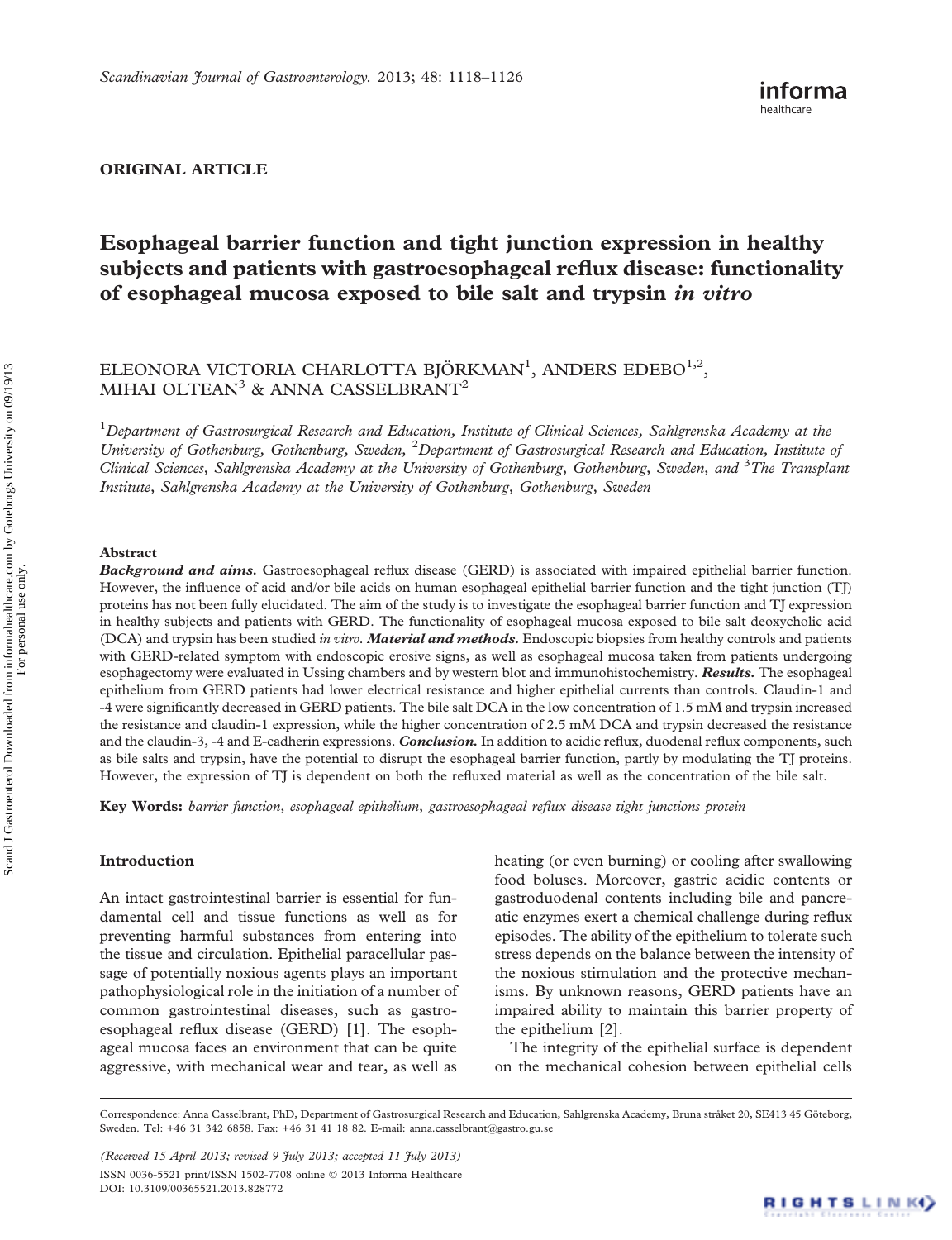## ORIGINAL ARTICLE

# Esophageal barrier function and tight junction expression in healthy subjects and patients with gastroesophageal reflux disease: functionality of esophageal mucosa exposed to bile salt and trypsin in vitro

## ELEONORA VICTORIA CHARLOTTA BJÖRKMAN<sup>1</sup>, ANDERS EDEBO<sup>1,2</sup>, MIHAI OLTEAN<sup>3</sup> & ANNA CASSELBRANT<sup>2</sup>

 $^1$ Department of Gastrosurgical Research and Education, Institute of Clinical Sciences, Sahlgrenska Academy at the University of Gothenburg, Gothenburg, Sweden, <sup>2</sup>Department of Gastrosurgical Research and Education, Institute of Clinical Sciences, Sahlgrenska Academy at the University of Gothenburg, Gothenburg, Sweden, and <sup>3</sup>The Transplant Institute, Sahlgrenska Academy at the University of Gothenburg, Gothenburg, Sweden

#### Abstract

Background and aims. Gastroesophageal reflux disease (GERD) is associated with impaired epithelial barrier function. However, the influence of acid and/or bile acids on human esophageal epithelial barrier function and the tight junction (TJ) proteins has not been fully elucidated. The aim of the study is to investigate the esophageal barrier function and TJ expression in healthy subjects and patients with GERD. The functionality of esophageal mucosa exposed to bile salt deoxycholic acid (DCA) and trypsin has been studied in vitro. Material and methods. Endoscopic biopsies from healthy controls and patients with GERD-related symptom with endoscopic erosive signs, as well as esophageal mucosa taken from patients undergoing esophagectomy were evaluated in Ussing chambers and by western blot and immunohistochemistry. **Results.** The esophageal epithelium from GERD patients had lower electrical resistance and higher epithelial currents than controls. Claudin-1 and -4 were significantly decreased in GERD patients. The bile salt DCA in the low concentration of 1.5 mM and trypsin increased the resistance and claudin-1 expression, while the higher concentration of 2.5 mM DCA and trypsin decreased the resistance and the claudin-3, -4 and E-cadherin expressions. Conclusion. In addition to acidic reflux, duodenal reflux components, such as bile salts and trypsin, have the potential to disrupt the esophageal barrier function, partly by modulating the TJ proteins. However, the expression of TJ is dependent on both the refluxed material as well as the concentration of the bile salt.

Key Words: barrier function, esophageal epithelium, gastroesophageal reflux disease tight junctions protein

## Introduction

An intact gastrointestinal barrier is essential for fundamental cell and tissue functions as well as for preventing harmful substances from entering into the tissue and circulation. Epithelial paracellular passage of potentially noxious agents plays an important pathophysiological role in the initiation of a number of common gastrointestinal diseases, such as gastroesophageal reflux disease (GERD) [\[1\]](#page-7-0). The esophageal mucosa faces an environment that can be quite aggressive, with mechanical wear and tear, as well as

heating (or even burning) or cooling after swallowing food boluses. Moreover, gastric acidic contents or gastroduodenal contents including bile and pancreatic enzymes exert a chemical challenge during reflux episodes. The ability of the epithelium to tolerate such stress depends on the balance between the intensity of the noxious stimulation and the protective mechanisms. By unknown reasons, GERD patients have an impaired ability to maintain this barrier property of the epithelium [[2](#page-7-0)].

The integrity of the epithelial surface is dependent on the mechanical cohesion between epithelial cells

(Received 15 April 2013; revised 9 July 2013; accepted 11 July 2013) ISSN 0036-5521 print/ISSN 1502-7708 online 2013 Informa Healthcare DOI: 10.3109/00365521.2013.828772

Correspondence: Anna Casselbrant, PhD, Department of Gastrosurgical Research and Education, Sahlgrenska Academy, Bruna stråket 20, SE413 45 Göteborg, Sweden. Tel: +46 31 342 6858. Fax: +46 31 41 18 82. E-mail: [anna.casselbrant@gastro.gu.se](mailto:anna.casselbrant@gastro.gu.se)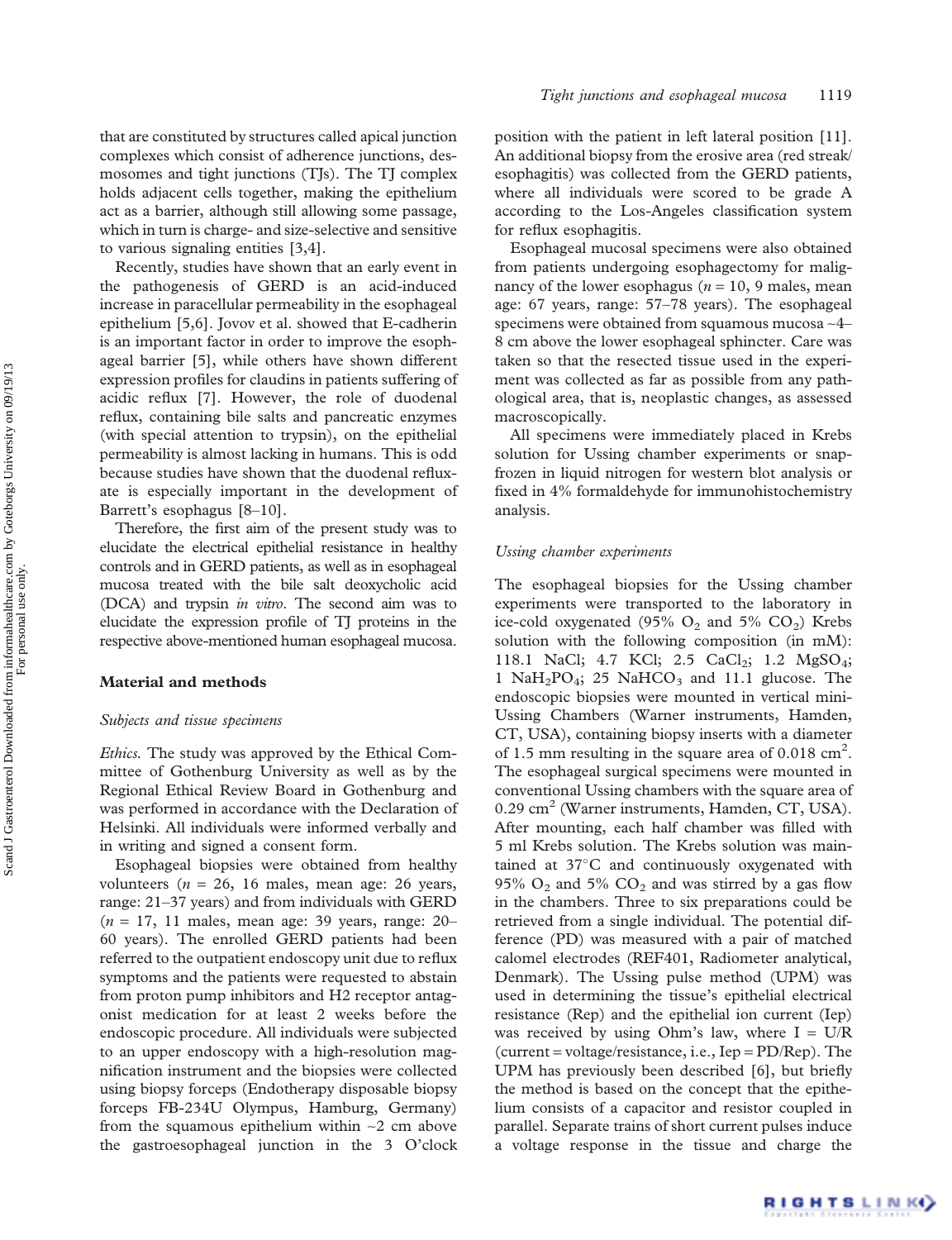that are constituted by structures called apical junction complexes which consist of adherence junctions, desmosomes and tight junctions (TJs). The TJ complex holds adjacent cells together, making the epithelium act as a barrier, although still allowing some passage, which in turn is charge- and size-selective and sensitive to various signaling entities [[3](#page-7-0),[4](#page-7-0)].

Recently, studies have shown that an early event in the pathogenesis of GERD is an acid-induced increase in paracellular permeability in the esophageal epithelium [\[5,6](#page-7-0)]. Jovov et al. showed that E-cadherin is an important factor in order to improve the esophageal barrier [\[5\]](#page-7-0), while others have shown different expression profiles for claudins in patients suffering of acidic reflux [[7](#page-7-0)]. However, the role of duodenal reflux, containing bile salts and pancreatic enzymes (with special attention to trypsin), on the epithelial permeability is almost lacking in humans. This is odd because studies have shown that the duodenal refluxate is especially important in the development of Barrett's esophagus [[8](#page-7-0)–[10](#page-7-0)].

Therefore, the first aim of the present study was to elucidate the electrical epithelial resistance in healthy controls and in GERD patients, as well as in esophageal mucosa treated with the bile salt deoxycholic acid (DCA) and trypsin in vitro. The second aim was to elucidate the expression profile of TJ proteins in the respective above-mentioned human esophageal mucosa.

#### Material and methods

## Subjects and tissue specimens

Ethics. The study was approved by the Ethical Committee of Gothenburg University as well as by the Regional Ethical Review Board in Gothenburg and was performed in accordance with the Declaration of Helsinki. All individuals were informed verbally and in writing and signed a consent form.

Esophageal biopsies were obtained from healthy volunteers ( $n = 26$ , 16 males, mean age: 26 years, range: 21–37 years) and from individuals with GERD  $(n = 17, 11$  males, mean age: 39 years, range: 20– 60 years). The enrolled GERD patients had been referred to the outpatient endoscopy unit due to reflux symptoms and the patients were requested to abstain from proton pump inhibitors and H2 receptor antagonist medication for at least 2 weeks before the endoscopic procedure. All individuals were subjected to an upper endoscopy with a high-resolution magnification instrument and the biopsies were collected using biopsy forceps (Endotherapy disposable biopsy forceps FB-234U Olympus, Hamburg, Germany) from the squamous epithelium within  $\sim$ 2 cm above the gastroesophageal junction in the 3 O'clock position with the patient in left lateral position [\[11\]](#page-7-0). An additional biopsy from the erosive area (red streak/ esophagitis) was collected from the GERD patients, where all individuals were scored to be grade A according to the Los-Angeles classification system for reflux esophagitis.

Esophageal mucosal specimens were also obtained from patients undergoing esophagectomy for malignancy of the lower esophagus ( $n = 10$ , 9 males, mean age: 67 years, range: 57–78 years). The esophageal specimens were obtained from squamous mucosa ~4– 8 cm above the lower esophageal sphincter. Care was taken so that the resected tissue used in the experiment was collected as far as possible from any pathological area, that is, neoplastic changes, as assessed macroscopically.

All specimens were immediately placed in Krebs solution for Ussing chamber experiments or snapfrozen in liquid nitrogen for western blot analysis or fixed in 4% formaldehyde for immunohistochemistry analysis.

#### Ussing chamber experiments

The esophageal biopsies for the Ussing chamber experiments were transported to the laboratory in ice-cold oxygenated (95%  $O_2$  and 5%  $CO_2$ ) Krebs solution with the following composition (in mM): 118.1 NaCl; 4.7 KCl; 2.5 CaCl<sub>2</sub>; 1.2 MgSO<sub>4</sub>; 1 Na $H_2PO_4$ ; 25 NaHCO<sub>3</sub> and 11.1 glucose. The endoscopic biopsies were mounted in vertical mini-Ussing Chambers (Warner instruments, Hamden, CT, USA), containing biopsy inserts with a diameter of 1.5 mm resulting in the square area of  $0.018 \text{ cm}^2$ . The esophageal surgical specimens were mounted in conventional Ussing chambers with the square area of  $0.29 \text{ cm}^2$  (Warner instruments, Hamden, CT, USA). After mounting, each half chamber was filled with 5 ml Krebs solution. The Krebs solution was maintained at  $37^{\circ}$ C and continuously oxygenated with 95%  $O_2$  and 5%  $CO_2$  and was stirred by a gas flow in the chambers. Three to six preparations could be retrieved from a single individual. The potential difference (PD) was measured with a pair of matched calomel electrodes (REF401, Radiometer analytical, Denmark). The Ussing pulse method (UPM) was used in determining the tissue's epithelial electrical resistance (Rep) and the epithelial ion current (Iep) was received by using Ohm's law, where  $I = U/R$ (current = voltage/resistance, i.e., Iep =  $PD/Rep$ ). The UPM has previously been described [\[6\]](#page-7-0), but briefly the method is based on the concept that the epithelium consists of a capacitor and resistor coupled in parallel. Separate trains of short current pulses induce a voltage response in the tissue and charge the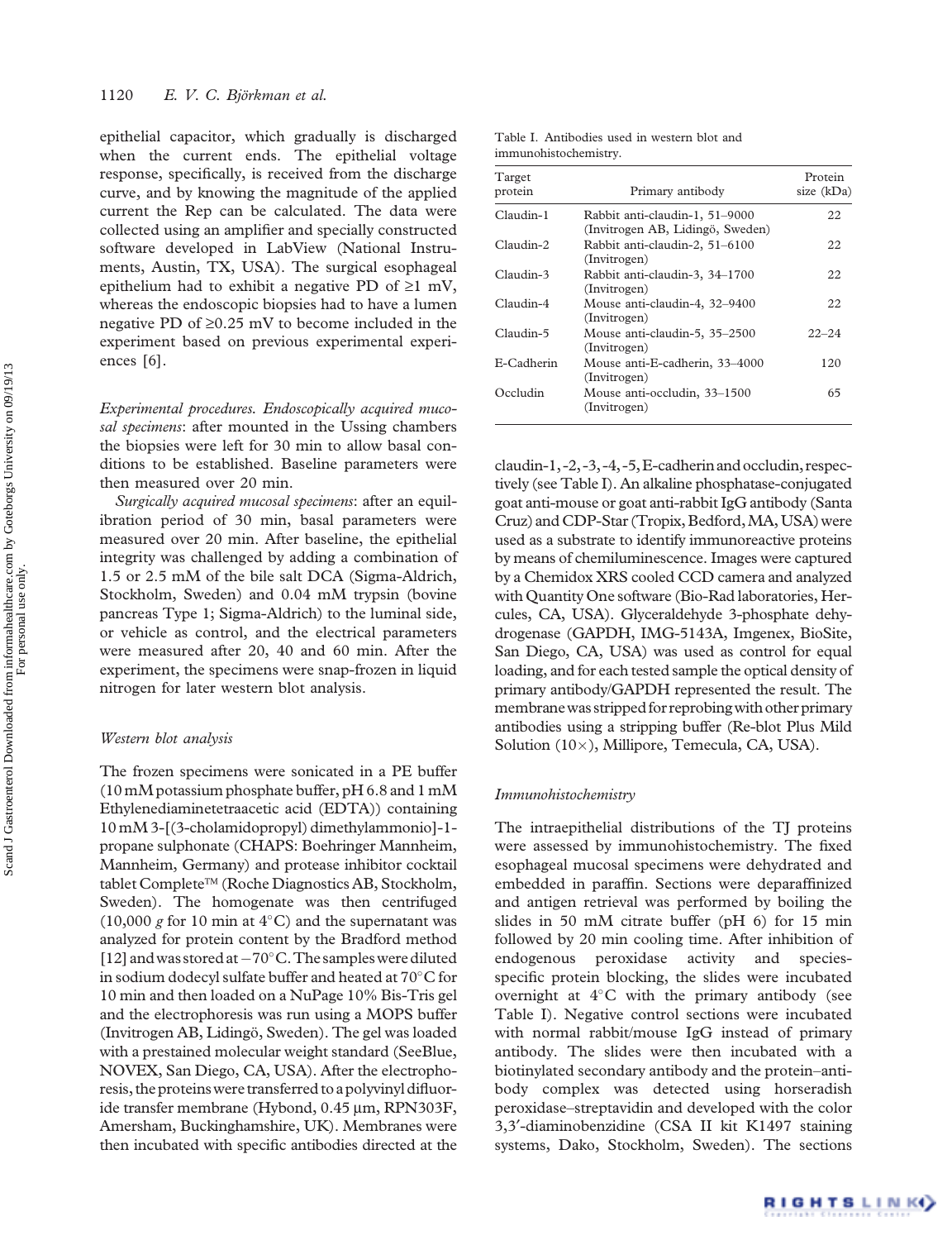<span id="page-2-0"></span>epithelial capacitor, which gradually is discharged when the current ends. The epithelial voltage response, specifically, is received from the discharge curve, and by knowing the magnitude of the applied current the Rep can be calculated. The data were collected using an amplifier and specially constructed software developed in LabView (National Instruments, Austin, TX, USA). The surgical esophageal epithelium had to exhibit a negative PD of  $\geq 1$  mV, whereas the endoscopic biopsies had to have a lumen negative PD of  $\geq 0.25$  mV to become included in the experiment based on previous experimental experiences [[6](#page-7-0)].

Experimental procedures. Endoscopically acquired mucosal specimens: after mounted in the Ussing chambers the biopsies were left for 30 min to allow basal conditions to be established. Baseline parameters were then measured over 20 min.

Surgically acquired mucosal specimens: after an equilibration period of 30 min, basal parameters were measured over 20 min. After baseline, the epithelial integrity was challenged by adding a combination of 1.5 or 2.5 mM of the bile salt DCA (Sigma-Aldrich, Stockholm, Sweden) and 0.04 mM trypsin (bovine pancreas Type 1; Sigma-Aldrich) to the luminal side, or vehicle as control, and the electrical parameters were measured after 20, 40 and 60 min. After the experiment, the specimens were snap-frozen in liquid nitrogen for later western blot analysis.

#### Western blot analysis

The frozen specimens were sonicated in a PE buffer (10 mM potassium phosphate buffer, pH 6.8 and 1 mM Ethylenediaminetetraacetic acid (EDTA)) containing 10 mM 3-[(3-cholamidopropyl) dimethylammonio]-1 propane sulphonate (CHAPS: Boehringer Mannheim, Mannheim, Germany) and protease inhibitor cocktail tablet Complete™ (Roche Diagnostics AB, Stockholm, Sweden). The homogenate was then centrifuged (10,000 g for 10 min at  $4^{\circ}$ C) and the supernatant was analyzed for protein content by the Bradford method [\[12](#page-7-0)] and was stored at  $-70^{\circ}$ C. The samples were diluted in sodium dodecyl sulfate buffer and heated at  $70^{\circ}$ C for 10 min and then loaded on a NuPage 10% Bis-Tris gel and the electrophoresis was run using a MOPS buffer (Invitrogen AB, Lidingö, Sweden). The gel was loaded with a prestained molecular weight standard (SeeBlue, NOVEX, San Diego, CA, USA). After the electrophoresis, the proteins were transferred to a polyvinyl difluoride transfer membrane (Hybond, 0.45 µm, RPN303F, Amersham, Buckinghamshire, UK). Membranes were then incubated with specific antibodies directed at the

| Table I. Antibodies used in western blot and |  |  |  |
|----------------------------------------------|--|--|--|
| immunohistochemistry.                        |  |  |  |

| Target<br>protein | Primary antibody                                                   | Protein<br>size (kDa) |
|-------------------|--------------------------------------------------------------------|-----------------------|
| Claudin-1         | Rabbit anti-claudin-1, 51-9000<br>(Invitrogen AB, Lidingö, Sweden) | 22                    |
| Claudin-2         | Rabbit anti-claudin-2, 51-6100<br>(Invitrogen)                     | 22                    |
| Claudin-3         | Rabbit anti-claudin-3, 34-1700<br>(Invitrogen)                     | 22                    |
| Claudin-4         | Mouse anti-claudin-4, 32-9400<br>(Invitrogen)                      | 22                    |
| Claudin-5         | Mouse anti-claudin-5, 35-2500<br>(Invitrogen)                      | $22 - 24$             |
| E-Cadherin        | Mouse anti-E-cadherin, 33-4000<br>(Invitrogen)                     | 120                   |
| Occludin          | Mouse anti-occludin, 33-1500<br>(Invitrogen)                       | 65                    |

 $claudin-1, -2, -3, -4, -5, E-cadherin and occluding, respec$ tively (see Table I). An alkaline phosphatase-conjugated goat anti-mouse or goat anti-rabbit IgG antibody (Santa Cruz) and CDP-Star (Tropix, Bedford, MA, USA) were used as a substrate to identify immunoreactive proteins by means of chemiluminescence. Images were captured by a Chemidox XRS cooled CCD camera and analyzed with Quantity One software (Bio-Rad laboratories, Hercules, CA, USA). Glyceraldehyde 3-phosphate dehydrogenase (GAPDH, IMG-5143A, Imgenex, BioSite, San Diego, CA, USA) was used as control for equal loading, and for each tested sample the optical density of primary antibody/GAPDH represented the result. The membrane was stripped for reprobing with other primary antibodies using a stripping buffer (Re-blot Plus Mild Solution (10×), Millipore, Temecula, CA, USA).

#### Immunohistochemistry

The intraepithelial distributions of the TJ proteins were assessed by immunohistochemistry. The fixed esophageal mucosal specimens were dehydrated and embedded in paraffin. Sections were deparaffinized and antigen retrieval was performed by boiling the slides in 50 mM citrate buffer (pH 6) for 15 min followed by 20 min cooling time. After inhibition of endogenous peroxidase activity and speciesspecific protein blocking, the slides were incubated overnight at  $4^{\circ}$ C with the primary antibody (see Table I). Negative control sections were incubated with normal rabbit/mouse IgG instead of primary antibody. The slides were then incubated with a biotinylated secondary antibody and the protein–antibody complex was detected using horseradish peroxidase–streptavidin and developed with the color 3,3¢-diaminobenzidine (CSA II kit K1497 staining systems, Dako, Stockholm, Sweden). The sections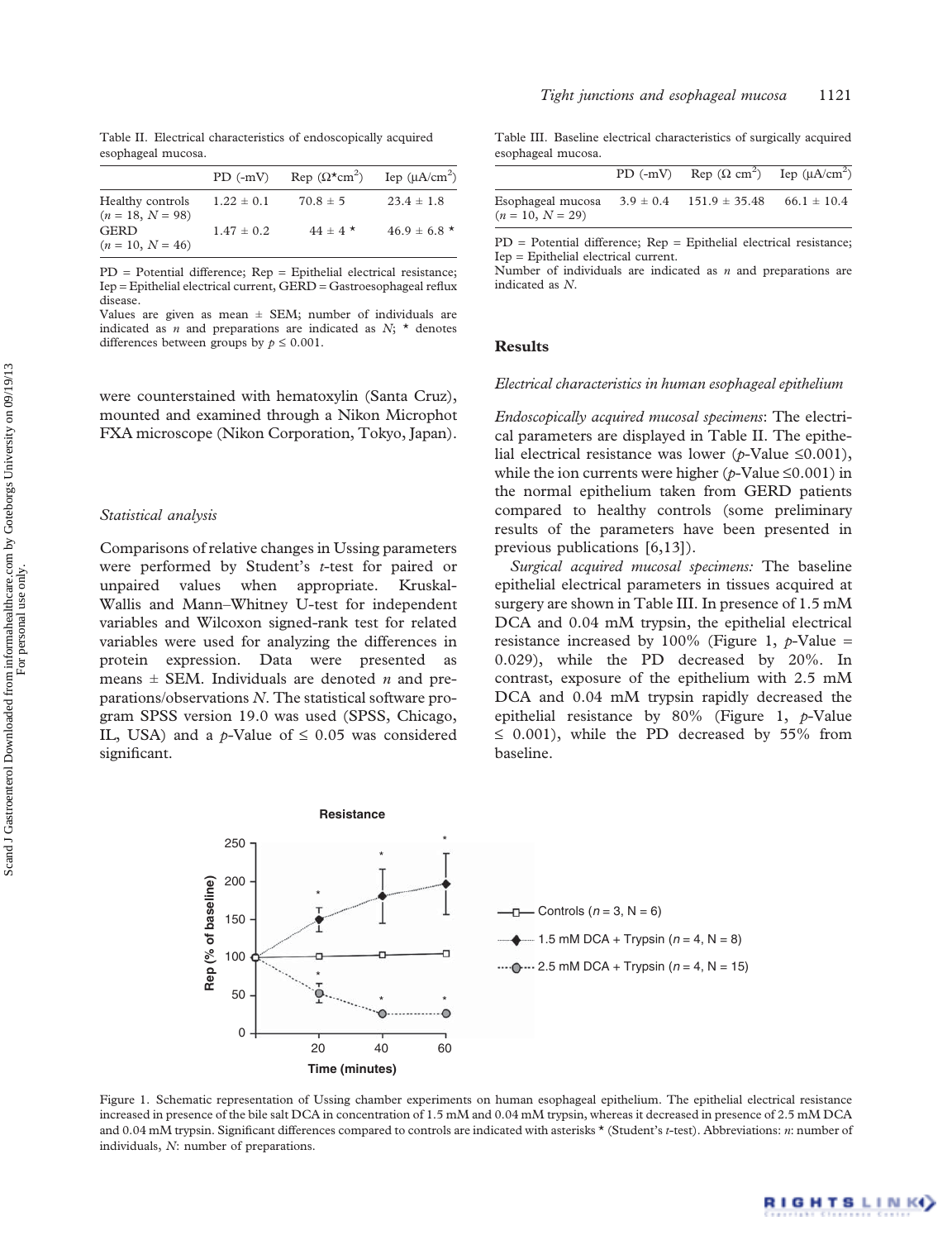|                                        | $PD(-mV)$      | $\text{Rep }(\Omega^{\star}\text{cm}^2)$ | Iep $(\mu A/cm^2)$ |
|----------------------------------------|----------------|------------------------------------------|--------------------|
| Healthy controls<br>$(n = 18, N = 98)$ | $1.22 \pm 0.1$ | $70.8 \pm 5$                             | $23.4 \pm 1.8$     |
| <b>GERD</b>                            | $1.47 \pm 0.2$ | $44 \pm 4$ *                             | $46.9 \pm 6.8$ *   |
| $(n = 10, N = 46)$                     |                |                                          |                    |

PD = Potential difference; Rep = Epithelial electrical resistance; Iep = Epithelial electrical current, GERD = Gastroesophageal reflux disease.

Values are given as mean  $\pm$  SEM; number of individuals are indicated as  $n$  and preparations are indicated as  $N$ ;  $\star$  denotes differences between groups by  $p \leq 0.001$ .

were counterstained with hematoxylin (Santa Cruz), mounted and examined through a Nikon Microphot FXA microscope (Nikon Corporation, Tokyo, Japan).

#### Statistical analysis

Comparisons of relative changes in Ussing parameters were performed by Student's t-test for paired or unpaired values when appropriate. Kruskal-Wallis and Mann–Whitney U-test for independent variables and Wilcoxon signed-rank test for related variables were used for analyzing the differences in protein expression. Data were presented as means  $\pm$  SEM. Individuals are denoted *n* and preparations/observations  $N$ . The statistical software program SPSS version 19.0 was used (SPSS, Chicago, IL, USA) and a p-Value of  $\leq 0.05$  was considered significant.

Table III. Baseline electrical characteristics of surgically acquired esophageal mucosa.

|                                         | $PD(-mV)$ | $\text{Rep }(\Omega \text{ cm}^2)$ | Iep $(\mu A/cm^2)$ |
|-----------------------------------------|-----------|------------------------------------|--------------------|
| Esophageal mucosa<br>$(n = 10, N = 29)$ |           | $3.9 \pm 0.4$ 151.9 $\pm$ 35.48    | $66.1 \pm 10.4$    |

PD = Potential difference; Rep = Epithelial electrical resistance; Iep = Epithelial electrical current.

Number of individuals are indicated as  $n$  and preparations are indicated as N.

#### **Results**

## Electrical characteristics in human esophageal epithelium

Endoscopically acquired mucosal specimens: The electrical parameters are displayed in Table II. The epithelial electrical resistance was lower (p-Value  $\leq 0.001$ ), while the ion currents were higher ( $p$ -Value  $\leq 0.001$ ) in the normal epithelium taken from GERD patients compared to healthy controls (some preliminary results of the parameters have been presented in previous publications [\[6,13\]](#page-7-0)).

Surgical acquired mucosal specimens: The baseline epithelial electrical parameters in tissues acquired at surgery are shown in Table III. In presence of 1.5 mM DCA and 0.04 mM trypsin, the epithelial electrical resistance increased by 100% (Figure 1,  $p$ -Value = 0.029), while the PD decreased by 20%. In contrast, exposure of the epithelium with 2.5 mM DCA and  $0.04$  mM trypsin rapidly decreased the epithelial resistance by  $80\%$  (Figure 1, p-Value  $\leq$  0.001), while the PD decreased by 55% from baseline.



Figure 1. Schematic representation of Ussing chamber experiments on human esophageal epithelium. The epithelial electrical resistance increased in presence of the bile salt DCA in concentration of 1.5 mM and 0.04 mM trypsin, whereas it decreased in presence of 2.5 mM DCA and 0.04 mM trypsin. Significant differences compared to controls are indicated with asterisks \* (Student's t-test). Abbreviations: n: number of individuals, N: number of preparations.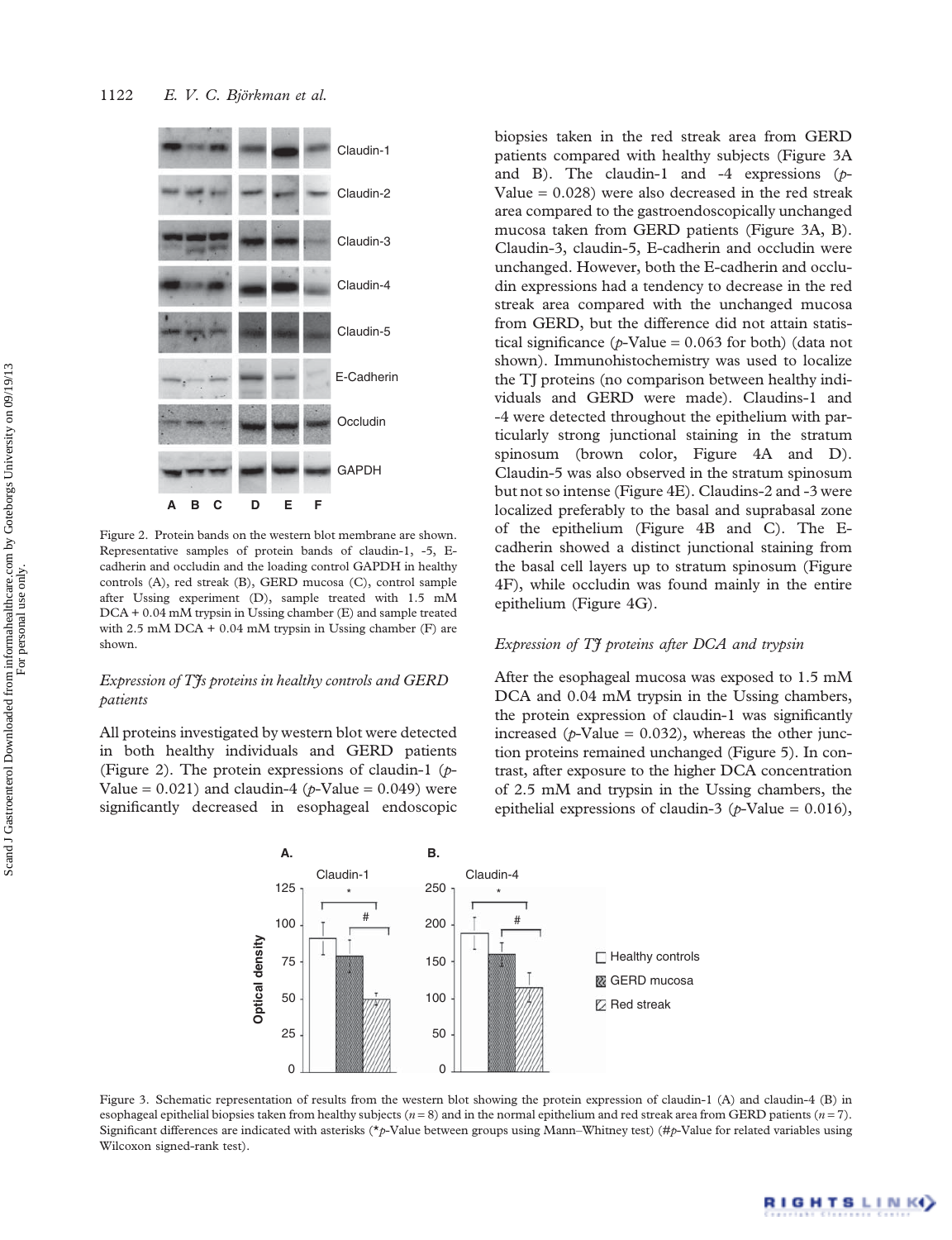

Figure 2. Protein bands on the western blot membrane are shown. Representative samples of protein bands of claudin-1, -5, Ecadherin and occludin and the loading control GAPDH in healthy controls (A), red streak (B), GERD mucosa (C), control sample after Ussing experiment (D), sample treated with 1.5 mM DCA + 0.04 mM trypsin in Ussing chamber (E) and sample treated with  $2.5$  mM DCA + 0.04 mM trypsin in Ussing chamber (F) are shown.

## Expression of T<sup>I</sup>s proteins in healthy controls and GERD patients

All proteins investigated by western blot were detected in both healthy individuals and GERD patients (Figure 2). The protein expressions of claudin-1  $(p-$ Value =  $0.021$ ) and claudin-4 (p-Value =  $0.049$ ) were significantly decreased in esophageal endoscopic biopsies taken in the red streak area from GERD patients compared with healthy subjects (Figure 3A and B). The claudin-1 and -4 expressions  $(p-$ Value  $= 0.028$ ) were also decreased in the red streak area compared to the gastroendoscopically unchanged mucosa taken from GERD patients (Figure 3A, B). Claudin-3, claudin-5, E-cadherin and occludin were unchanged. However, both the E-cadherin and occludin expressions had a tendency to decrease in the red streak area compared with the unchanged mucosa from GERD, but the difference did not attain statistical significance ( $p$ -Value = 0.063 for both) (data not shown). Immunohistochemistry was used to localize the TJ proteins (no comparison between healthy individuals and GERD were made). Claudins-1 and -4 were detected throughout the epithelium with particularly strong junctional staining in the stratum spinosum (brown color, [Figure 4A and D](#page-5-0)). Claudin-5 was also observed in the stratum spinosum but not so intense ([Figure 4E\)](#page-5-0). Claudins-2 and -3 were localized preferably to the basal and suprabasal zone of the epithelium [\(Figure 4B and C](#page-5-0)). The Ecadherin showed a distinct junctional staining from the basal cell layers up to stratum spinosum ([Figure](#page-5-0) [4F\)](#page-5-0), while occludin was found mainly in the entire epithelium ([Figure 4G](#page-5-0)).

## Expression of TI proteins after DCA and trypsin

After the esophageal mucosa was exposed to 1.5 mM DCA and  $0.04$  mM trypsin in the Ussing chambers, the protein expression of claudin-1 was significantly increased ( $p$ -Value = 0.032), whereas the other junction proteins remained unchanged [\(Figure 5](#page-5-0)). In contrast, after exposure to the higher DCA concentration of 2.5 mM and trypsin in the Ussing chambers, the epithelial expressions of claudin-3 ( $p$ -Value = 0.016),



Figure 3. Schematic representation of results from the western blot showing the protein expression of claudin-1 (A) and claudin-4 (B) in esophageal epithelial biopsies taken from healthy subjects ( $n = 8$ ) and in the normal epithelium and red streak area from GERD patients ( $n = 7$ ). Significant differences are indicated with asterisks (\*p-Value between groups using Mann–Whitney test) (#p-Value for related variables using Wilcoxon signed-rank test).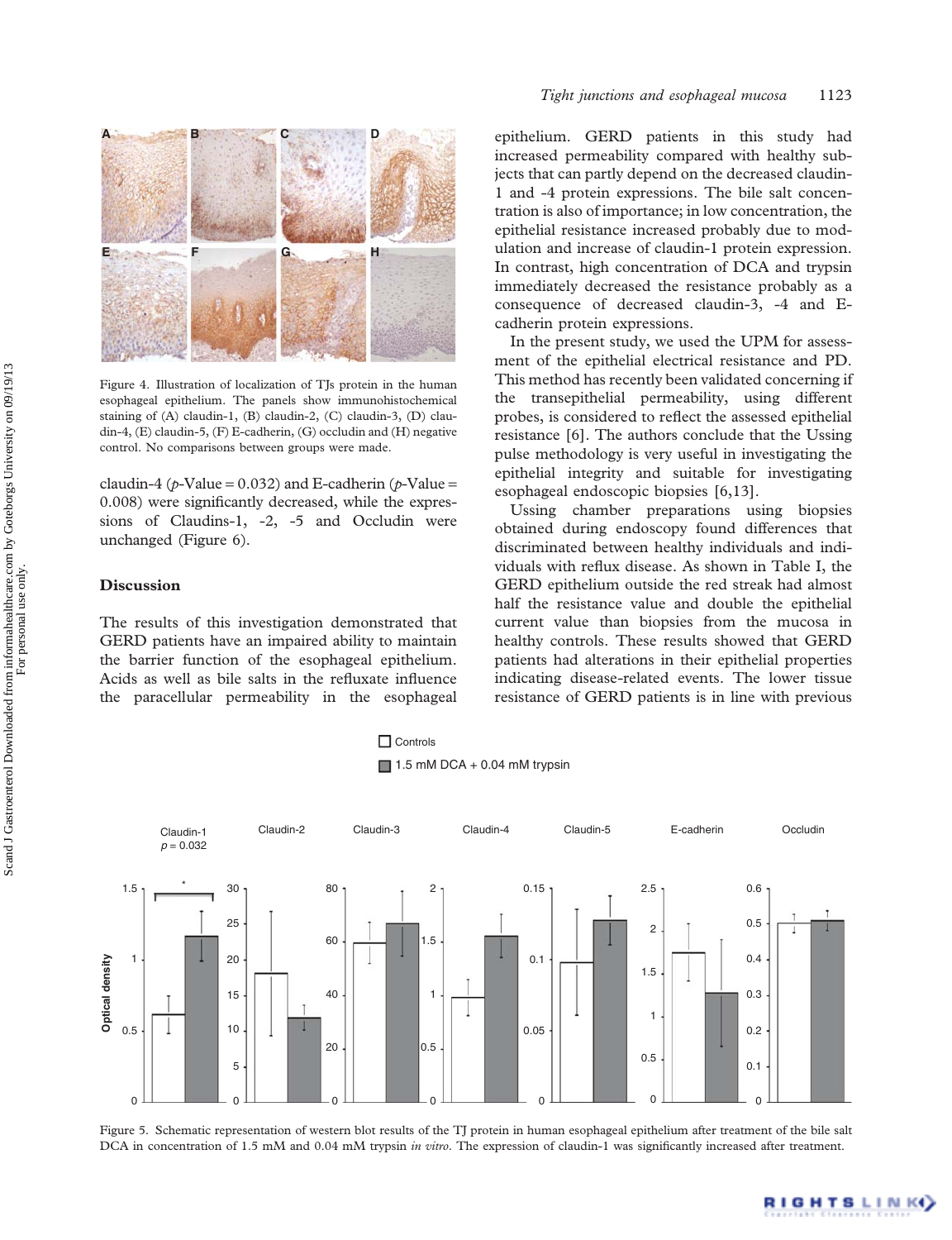<span id="page-5-0"></span>

Figure 4. Illustration of localization of TJs protein in the human esophageal epithelium. The panels show immunohistochemical staining of (A) claudin-1, (B) claudin-2, (C) claudin-3, (D) claudin-4, (E) claudin-5, (F) E-cadherin, (G) occludin and (H) negative control. No comparisons between groups were made.

claudin-4 ( $\phi$ -Value = 0.032) and E-cadherin ( $\phi$ -Value = 0.008) were significantly decreased, while the expressions of Claudins-1, -2, -5 and Occludin were unchanged [\(Figure 6\)](#page-6-0).

## Discussion

The results of this investigation demonstrated that GERD patients have an impaired ability to maintain the barrier function of the esophageal epithelium. Acids as well as bile salts in the refluxate influence the paracellular permeability in the esophageal

epithelium. GERD patients in this study had increased permeability compared with healthy subjects that can partly depend on the decreased claudin-1 and -4 protein expressions. The bile salt concentration is also of importance; in low concentration, the epithelial resistance increased probably due to modulation and increase of claudin-1 protein expression. In contrast, high concentration of DCA and trypsin immediately decreased the resistance probably as a consequence of decreased claudin-3, -4 and Ecadherin protein expressions.

In the present study, we used the UPM for assessment of the epithelial electrical resistance and PD. This method has recently been validated concerning if the transepithelial permeability, using different probes, is considered to reflect the assessed epithelial resistance [[6](#page-7-0)]. The authors conclude that the Ussing pulse methodology is very useful in investigating the epithelial integrity and suitable for investigating esophageal endoscopic biopsies [[6](#page-7-0),[13\]](#page-7-0).

Ussing chamber preparations using biopsies obtained during endoscopy found differences that discriminated between healthy individuals and individuals with reflux disease. As shown in [Table I](#page-2-0), the GERD epithelium outside the red streak had almost half the resistance value and double the epithelial current value than biopsies from the mucosa in healthy controls. These results showed that GERD patients had alterations in their epithelial properties indicating disease-related events. The lower tissue resistance of GERD patients is in line with previous





Figure 5. Schematic representation of western blot results of the TJ protein in human esophageal epithelium after treatment of the bile salt DCA in concentration of 1.5 mM and 0.04 mM trypsin in vitro. The expression of claudin-1 was significantly increased after treatment.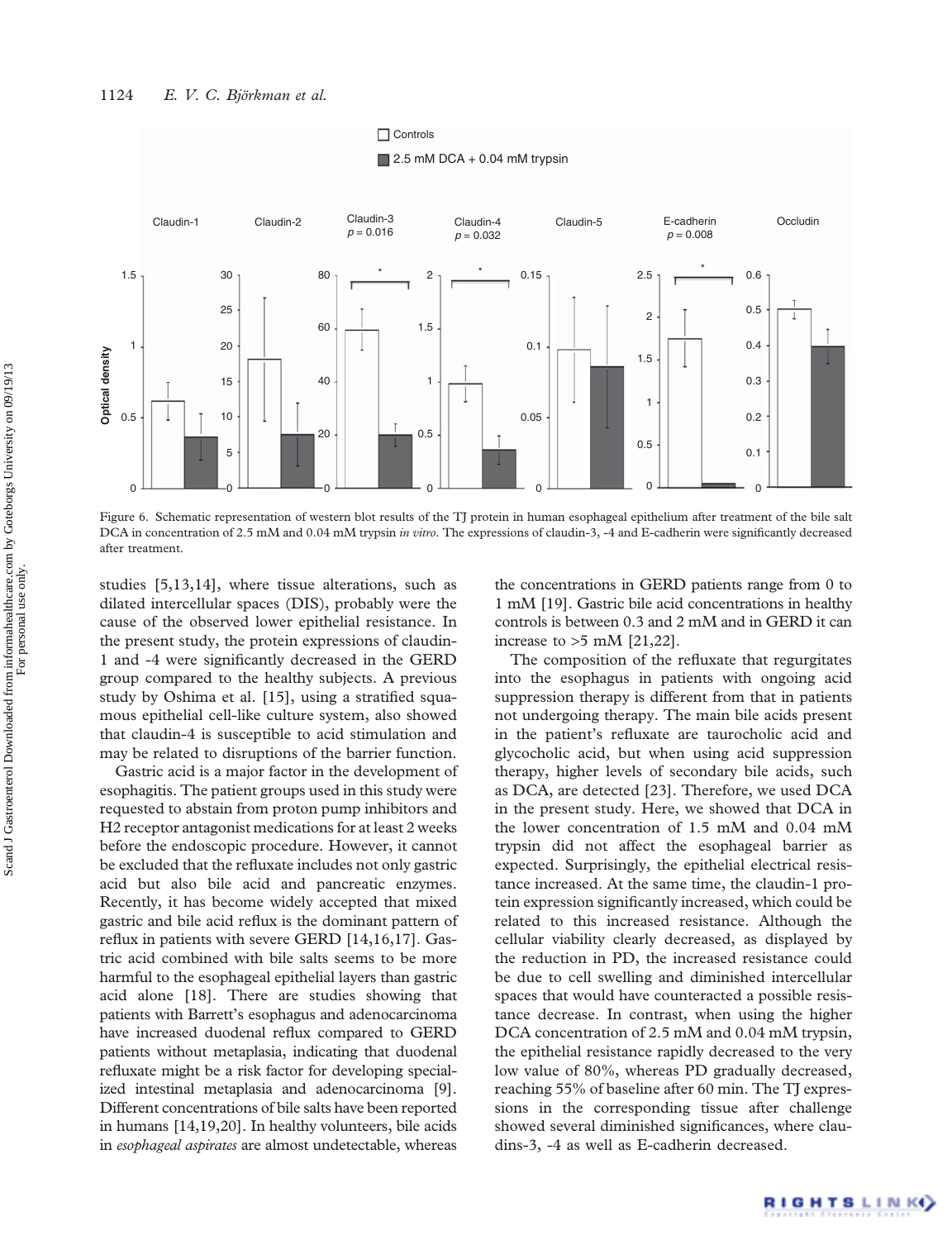<span id="page-6-0"></span>

Figure 6. Schematic representation of western blot results of the TJ protein in human esophageal epithelium after treatment of the bile salt DCA in concentration of 2.5 mM and 0.04 mM trypsin in vitro. The expressions of claudin-3, -4 and E-cadherin were significantly decreased after treatment.

studies [\[5,13,14](#page-7-0)], where tissue alterations, such as dilated intercellular spaces (DIS), probably were the cause of the observed lower epithelial resistance. In the present study, the protein expressions of claudin-1 and -4 were significantly decreased in the GERD group compared to the healthy subjects. A previous study by Oshima et al. [\[15](#page-7-0)], using a stratified squamous epithelial cell-like culture system, also showed that claudin-4 is susceptible to acid stimulation and may be related to disruptions of the barrier function.

Gastric acid is a major factor in the development of esophagitis. The patient groups used in this study were requested to abstain from proton pump inhibitors and H2 receptor antagonist medications for at least 2 weeks before the endoscopic procedure. However, it cannot be excluded that the refluxate includes not only gastric acid but also bile acid and pancreatic enzymes. Recently, it has become widely accepted that mixed gastric and bile acid reflux is the dominant pattern of reflux in patients with severe GERD [\[14,16](#page-7-0)[,17](#page-8-0)]. Gastric acid combined with bile salts seems to be more harmful to the esophageal epithelial layers than gastric acid alone [[18](#page-8-0)]. There are studies showing that patients with Barrett's esophagus and adenocarcinoma have increased duodenal reflux compared to GERD patients without metaplasia, indicating that duodenal refluxate might be a risk factor for developing specialized intestinal metaplasia and adenocarcinoma [\[9](#page-7-0)]. Different concentrations of bile salts have been reported in humans [\[14,](#page-7-0)[19,20](#page-8-0)]. In healthy volunteers, bile acids in esophageal aspirates are almost undetectable, whereas

the concentrations in GERD patients range from 0 to 1 mM [[19](#page-8-0)]. Gastric bile acid concentrations in healthy controls is between 0.3 and 2 mM and in GERD it can increase to  $>5$  mM [\[21,22](#page-8-0)].

The composition of the refluxate that regurgitates into the esophagus in patients with ongoing acid suppression therapy is different from that in patients not undergoing therapy. The main bile acids present in the patient's refluxate are taurocholic acid and glycocholic acid, but when using acid suppression therapy, higher levels of secondary bile acids, such as DCA, are detected [\[23\]](#page-8-0). Therefore, we used DCA in the present study. Here, we showed that DCA in the lower concentration of 1.5 mM and 0.04 mM trypsin did not affect the esophageal barrier as expected. Surprisingly, the epithelial electrical resistance increased. At the same time, the claudin-1 protein expression significantly increased, which could be related to this increased resistance. Although the cellular viability clearly decreased, as displayed by the reduction in PD, the increased resistance could be due to cell swelling and diminished intercellular spaces that would have counteracted a possible resistance decrease. In contrast, when using the higher DCA concentration of 2.5 mM and 0.04 mM trypsin, the epithelial resistance rapidly decreased to the very low value of 80%, whereas PD gradually decreased, reaching 55% of baseline after 60 min. The TJ expressions in the corresponding tissue after challenge showed several diminished significances, where claudins-3, -4 as well as E-cadherin decreased.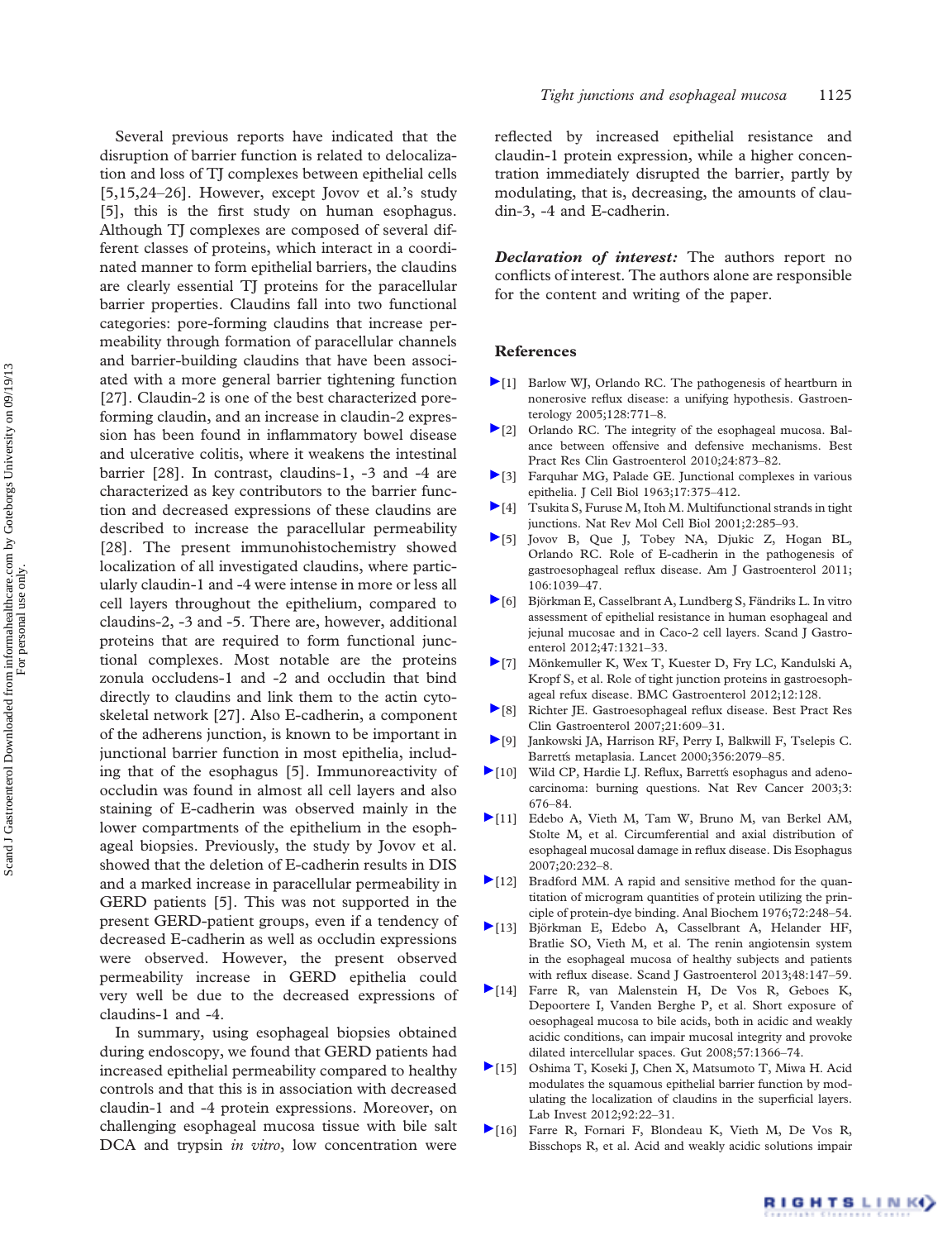<span id="page-7-0"></span>Several previous reports have indicated that the disruption of barrier function is related to delocalization and loss of TJ complexes between epithelial cells [5,15,[24](#page-8-0)–[26](#page-8-0)]. However, except Jovov et al.'s study [5], this is the first study on human esophagus. Although TJ complexes are composed of several different classes of proteins, which interact in a coordinated manner to form epithelial barriers, the claudins are clearly essential TJ proteins for the paracellular barrier properties. Claudins fall into two functional categories: pore-forming claudins that increase permeability through formation of paracellular channels and barrier-building claudins that have been associated with a more general barrier tightening function [[27](#page-8-0)]. Claudin-2 is one of the best characterized poreforming claudin, and an increase in claudin-2 expression has been found in inflammatory bowel disease and ulcerative colitis, where it weakens the intestinal barrier [[28\]](#page-8-0). In contrast, claudins-1, -3 and -4 are characterized as key contributors to the barrier function and decreased expressions of these claudins are described to increase the paracellular permeability [[28](#page-8-0)]. The present immunohistochemistry showed localization of all investigated claudins, where particularly claudin-1 and -4 were intense in more or less all cell layers throughout the epithelium, compared to claudins-2, -3 and -5. There are, however, additional proteins that are required to form functional junctional complexes. Most notable are the proteins zonula occludens-1 and -2 and occludin that bind directly to claudins and link them to the actin cytoskeletal network [[27\]](#page-8-0). Also E-cadherin, a component of the adherens junction, is known to be important in junctional barrier function in most epithelia, including that of the esophagus [5]. Immunoreactivity of occludin was found in almost all cell layers and also staining of E-cadherin was observed mainly in the lower compartments of the epithelium in the esophageal biopsies. Previously, the study by Jovov et al. showed that the deletion of E-cadherin results in DIS and a marked increase in paracellular permeability in GERD patients [5]. This was not supported in the present GERD-patient groups, even if a tendency of decreased E-cadherin as well as occludin expressions were observed. However, the present observed permeability increase in GERD epithelia could very well be due to the decreased expressions of claudins-1 and -4.

In summary, using esophageal biopsies obtained during endoscopy, we found that GERD patients had increased epithelial permeability compared to healthy controls and that this is in association with decreased claudin-1 and -4 protein expressions. Moreover, on challenging esophageal mucosa tissue with bile salt DCA and trypsin *in vitro*, low concentration were

reflected by increased epithelial resistance and claudin-1 protein expression, while a higher concentration immediately disrupted the barrier, partly by modulating, that is, decreasing, the amounts of claudin-3, -4 and E-cadherin.

**Declaration of interest:** The authors report no conflicts of interest. The authors alone are responsible for the content and writing of the paper.

## References

- [1] Barlow WJ, Orlando RC. [The pathogenesis of heartburn in](www.ncbi.nlm.nih.gov/pubmed/15765412?dopt=Abstract) nonerosive refl[ux disease: a unifying hypothesis.](www.ncbi.nlm.nih.gov/pubmed/15765412?dopt=Abstract) Gastroenterology 2005;128:771–8.
- [2] Orlando RC. [The integrity of the esophageal mucosa. Bal](www.ncbi.nlm.nih.gov/pubmed/21126700?dopt=Abstract)[ance between offensive and defensive mechanisms.](www.ncbi.nlm.nih.gov/pubmed/21126700?dopt=Abstract) Best Pract Res Clin Gastroenterol 2010;24:873–82.
- [3] Farquhar MG, Palade GE. [Junctional complexes in various](www.ncbi.nlm.nih.gov/pubmed/13944428?dopt=Abstract) [epithelia](www.ncbi.nlm.nih.gov/pubmed/13944428?dopt=Abstract). J Cell Biol 1963;17:375–412.
- [4] Tsukita S, Furuse M, Itoh M. [Multifunctional strands in tight](www.ncbi.nlm.nih.gov/pubmed/11283726?dopt=Abstract) [junctions.](www.ncbi.nlm.nih.gov/pubmed/11283726?dopt=Abstract) Nat Rev Mol Cell Biol 2001;2:285–93.
- [5] Jovov B, Que J, Tobey NA, Djukic Z, Hogan BL, Orlando RC. [Role of E-cadherin in the pathogenesis of](www.ncbi.nlm.nih.gov/pubmed/21448147?dopt=Abstract) [gastroesophageal re](www.ncbi.nlm.nih.gov/pubmed/21448147?dopt=Abstract)flux disease. Am J Gastroenterol 2011; 106:1039–47.
- [6] Björkman E, Casselbrant A, Lundberg S, Fändriks L. [In vitro](www.ncbi.nlm.nih.gov/pubmed/23003564?dopt=Abstract) [assessment of epithelial resistance in human esophageal and](www.ncbi.nlm.nih.gov/pubmed/23003564?dopt=Abstract) [jejunal mucosae and in Caco-2 cell layers](www.ncbi.nlm.nih.gov/pubmed/23003564?dopt=Abstract). Scand J Gastroenterol 2012;47:1321–33.
- [7] Mönkemuller K, Wex T, Kuester D, Fry LC, Kandulski A, Kropf S, et al. [Role of tight junction proteins in gastroesoph](www.ncbi.nlm.nih.gov/pubmed/22994974?dopt=Abstract)[ageal refux disease.](www.ncbi.nlm.nih.gov/pubmed/22994974?dopt=Abstract) BMC Gastroenterol 2012;12:128.
- [8] Richter JE. [Gastroesophageal re](www.ncbi.nlm.nih.gov/pubmed/17950439?dopt=Abstract)flux disease. Best Pract Res Clin Gastroenterol 2007;21:609–31.
- [9] Jankowski JA, Harrison RF, Perry I, Balkwill F, Tselepis C. [Barrett](www.ncbi.nlm.nih.gov/pubmed/11145505?dopt=Abstract)[s metaplasia](www.ncbi.nlm.nih.gov/pubmed/11145505?dopt=Abstract). Lancet 2000;356:2079–85.
- [10] Wild CP, Hardie LJ. Refl[ux, Barrett](www.ncbi.nlm.nih.gov/pubmed/12951586?dopt=Abstract)[s esophagus and adeno](www.ncbi.nlm.nih.gov/pubmed/12951586?dopt=Abstract)[carcinoma: burning questions](www.ncbi.nlm.nih.gov/pubmed/12951586?dopt=Abstract). Nat Rev Cancer 2003;3: 676–84.
- [11] Edebo A, Vieth M, Tam W, Bruno M, van Berkel AM, Stolte M, et al. [Circumferential and axial distribution of](www.ncbi.nlm.nih.gov/pubmed/17509120?dopt=Abstract) [esophageal mucosal damage in re](www.ncbi.nlm.nih.gov/pubmed/17509120?dopt=Abstract)flux disease. Dis Esophagus 2007;20:232–8.
- [12] Bradford MM. [A rapid and sensitive method for the quan](www.ncbi.nlm.nih.gov/pubmed/942051?dopt=Abstract)[titation of microgram quantities of protein utilizing the prin](www.ncbi.nlm.nih.gov/pubmed/942051?dopt=Abstract)[ciple of protein-dye binding.](www.ncbi.nlm.nih.gov/pubmed/942051?dopt=Abstract) Anal Biochem 1976;72:248–54.
- [13] Björkman E, Edebo A, Casselbrant A, Helander HF, Bratlie SO, Vieth M, et al. [The renin angiotensin system](www.ncbi.nlm.nih.gov/pubmed/23270416?dopt=Abstract) [in the esophageal mucosa of healthy subjects and patients](www.ncbi.nlm.nih.gov/pubmed/23270416?dopt=Abstract) with refl[ux disease.](www.ncbi.nlm.nih.gov/pubmed/23270416?dopt=Abstract) Scand J Gastroenterol 2013;48:147–59.
- [14] Farre R, van Malenstein H, De Vos R, Geboes K, Depoortere I, Vanden Berghe P, et al. [Short exposure of](www.ncbi.nlm.nih.gov/pubmed/18593808?dopt=Abstract) [oesophageal mucosa to bile acids, both in acidic and weakly](www.ncbi.nlm.nih.gov/pubmed/18593808?dopt=Abstract) [acidic conditions, can impair mucosal integrity and provoke](www.ncbi.nlm.nih.gov/pubmed/18593808?dopt=Abstract) [dilated intercellular spaces.](www.ncbi.nlm.nih.gov/pubmed/18593808?dopt=Abstract) Gut 2008;57:1366–74.
- [15] Oshima T, Koseki J, Chen X, Matsumoto T, Miwa H. [Acid](www.ncbi.nlm.nih.gov/pubmed/21912379?dopt=Abstract) [modulates the squamous epithelial barrier function by mod](www.ncbi.nlm.nih.gov/pubmed/21912379?dopt=Abstract)[ulating the localization of claudins in the super](www.ncbi.nlm.nih.gov/pubmed/21912379?dopt=Abstract)ficial layers. Lab Invest 2012;92:22–31.
- [16] Farre R, Fornari F, Blondeau K, Vieth M, De Vos R, Bisschops R, et al. [Acid and weakly acidic solutions impair](www.ncbi.nlm.nih.gov/pubmed/19880965?dopt=Abstract)